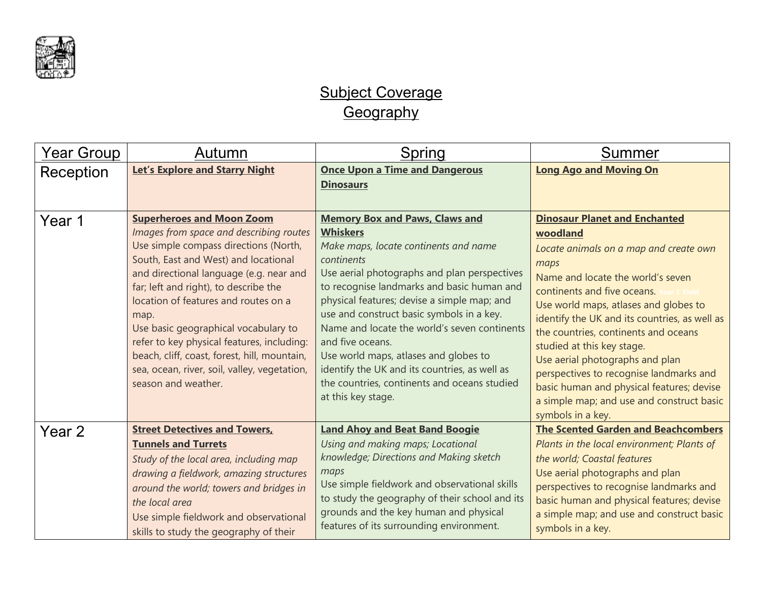

## Subject Coverage **Geography**

| Year Group | Autumn                                                                                                                                                                                                                                                                                                                                                                                                                                                                                                        | Spring                                                                                                                                                                                                                                                                                                                                                                                                                                                                                                                                        | Summer                                                                                                                                                                                                                                                                                                                                                                                                                                                                                                                              |
|------------|---------------------------------------------------------------------------------------------------------------------------------------------------------------------------------------------------------------------------------------------------------------------------------------------------------------------------------------------------------------------------------------------------------------------------------------------------------------------------------------------------------------|-----------------------------------------------------------------------------------------------------------------------------------------------------------------------------------------------------------------------------------------------------------------------------------------------------------------------------------------------------------------------------------------------------------------------------------------------------------------------------------------------------------------------------------------------|-------------------------------------------------------------------------------------------------------------------------------------------------------------------------------------------------------------------------------------------------------------------------------------------------------------------------------------------------------------------------------------------------------------------------------------------------------------------------------------------------------------------------------------|
| Reception  | <b>Let's Explore and Starry Night</b>                                                                                                                                                                                                                                                                                                                                                                                                                                                                         | <b>Once Upon a Time and Dangerous</b><br><b>Dinosaurs</b>                                                                                                                                                                                                                                                                                                                                                                                                                                                                                     | <b>Long Ago and Moving On</b>                                                                                                                                                                                                                                                                                                                                                                                                                                                                                                       |
| Year 1     | <b>Superheroes and Moon Zoom</b><br>Images from space and describing routes<br>Use simple compass directions (North,<br>South, East and West) and locational<br>and directional language (e.g. near and<br>far; left and right), to describe the<br>location of features and routes on a<br>map.<br>Use basic geographical vocabulary to<br>refer to key physical features, including:<br>beach, cliff, coast, forest, hill, mountain,<br>sea, ocean, river, soil, valley, vegetation,<br>season and weather. | <b>Memory Box and Paws, Claws and</b><br><b>Whiskers</b><br>Make maps, locate continents and name<br>continents<br>Use aerial photographs and plan perspectives<br>to recognise landmarks and basic human and<br>physical features; devise a simple map; and<br>use and construct basic symbols in a key.<br>Name and locate the world's seven continents<br>and five oceans.<br>Use world maps, atlases and globes to<br>identify the UK and its countries, as well as<br>the countries, continents and oceans studied<br>at this key stage. | <b>Dinosaur Planet and Enchanted</b><br>woodland<br>Locate animals on a map and create own<br>maps<br>Name and locate the world's seven<br>continents and five oceans.<br>Use world maps, atlases and globes to<br>identify the UK and its countries, as well as<br>the countries, continents and oceans<br>studied at this key stage.<br>Use aerial photographs and plan<br>perspectives to recognise landmarks and<br>basic human and physical features; devise<br>a simple map; and use and construct basic<br>symbols in a key. |
| Year 2     | <b>Street Detectives and Towers,</b><br><b>Tunnels and Turrets</b><br>Study of the local area, including map<br>drawing a fieldwork, amazing structures<br>around the world; towers and bridges in<br>the local area<br>Use simple fieldwork and observational<br>skills to study the geography of their                                                                                                                                                                                                      | <b>Land Ahoy and Beat Band Boogie</b><br>Using and making maps; Locational<br>knowledge; Directions and Making sketch<br>maps<br>Use simple fieldwork and observational skills<br>to study the geography of their school and its<br>grounds and the key human and physical<br>features of its surrounding environment.                                                                                                                                                                                                                        | <b>The Scented Garden and Beachcombers</b><br>Plants in the local environment; Plants of<br>the world; Coastal features<br>Use aerial photographs and plan<br>perspectives to recognise landmarks and<br>basic human and physical features; devise<br>a simple map; and use and construct basic<br>symbols in a key.                                                                                                                                                                                                                |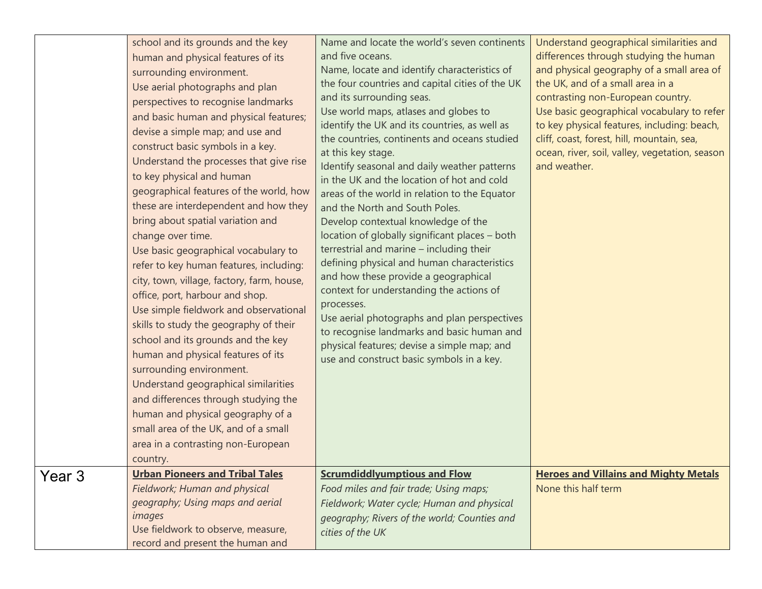|        | school and its grounds and the key<br>human and physical features of its<br>surrounding environment.<br>Use aerial photographs and plan<br>perspectives to recognise landmarks<br>and basic human and physical features;<br>devise a simple map; and use and<br>construct basic symbols in a key.<br>Understand the processes that give rise<br>to key physical and human<br>geographical features of the world, how<br>these are interdependent and how they<br>bring about spatial variation and<br>change over time.<br>Use basic geographical vocabulary to<br>refer to key human features, including:<br>city, town, village, factory, farm, house,<br>office, port, harbour and shop.<br>Use simple fieldwork and observational<br>skills to study the geography of their<br>school and its grounds and the key<br>human and physical features of its<br>surrounding environment.<br>Understand geographical similarities<br>and differences through studying the<br>human and physical geography of a<br>small area of the UK, and of a small<br>area in a contrasting non-European<br>country.<br><b>Urban Pioneers and Tribal Tales</b> | Name and locate the world's seven continents<br>and five oceans.<br>Name, locate and identify characteristics of<br>the four countries and capital cities of the UK<br>and its surrounding seas.<br>Use world maps, atlases and globes to<br>identify the UK and its countries, as well as<br>the countries, continents and oceans studied<br>at this key stage.<br>Identify seasonal and daily weather patterns<br>in the UK and the location of hot and cold<br>areas of the world in relation to the Equator<br>and the North and South Poles.<br>Develop contextual knowledge of the<br>location of globally significant places - both<br>terrestrial and marine - including their<br>defining physical and human characteristics<br>and how these provide a geographical<br>context for understanding the actions of<br>processes.<br>Use aerial photographs and plan perspectives<br>to recognise landmarks and basic human and<br>physical features; devise a simple map; and<br>use and construct basic symbols in a key.<br><b>Scrumdiddlyumptious and Flow</b> | Understand geographical similarities and<br>differences through studying the human<br>and physical geography of a small area of<br>the UK, and of a small area in a<br>contrasting non-European country.<br>Use basic geographical vocabulary to refer<br>to key physical features, including: beach,<br>cliff, coast, forest, hill, mountain, sea,<br>ocean, river, soil, valley, vegetation, season<br>and weather.<br><b>Heroes and Villains and Mighty Metals</b> |
|--------|--------------------------------------------------------------------------------------------------------------------------------------------------------------------------------------------------------------------------------------------------------------------------------------------------------------------------------------------------------------------------------------------------------------------------------------------------------------------------------------------------------------------------------------------------------------------------------------------------------------------------------------------------------------------------------------------------------------------------------------------------------------------------------------------------------------------------------------------------------------------------------------------------------------------------------------------------------------------------------------------------------------------------------------------------------------------------------------------------------------------------------------------------|--------------------------------------------------------------------------------------------------------------------------------------------------------------------------------------------------------------------------------------------------------------------------------------------------------------------------------------------------------------------------------------------------------------------------------------------------------------------------------------------------------------------------------------------------------------------------------------------------------------------------------------------------------------------------------------------------------------------------------------------------------------------------------------------------------------------------------------------------------------------------------------------------------------------------------------------------------------------------------------------------------------------------------------------------------------------------|-----------------------------------------------------------------------------------------------------------------------------------------------------------------------------------------------------------------------------------------------------------------------------------------------------------------------------------------------------------------------------------------------------------------------------------------------------------------------|
| Year 3 | Fieldwork; Human and physical<br>geography; Using maps and aerial<br>images<br>Use fieldwork to observe, measure,<br>record and present the human and                                                                                                                                                                                                                                                                                                                                                                                                                                                                                                                                                                                                                                                                                                                                                                                                                                                                                                                                                                                            | Food miles and fair trade; Using maps;<br>Fieldwork; Water cycle; Human and physical<br>geography; Rivers of the world; Counties and<br>cities of the UK                                                                                                                                                                                                                                                                                                                                                                                                                                                                                                                                                                                                                                                                                                                                                                                                                                                                                                                 | None this half term                                                                                                                                                                                                                                                                                                                                                                                                                                                   |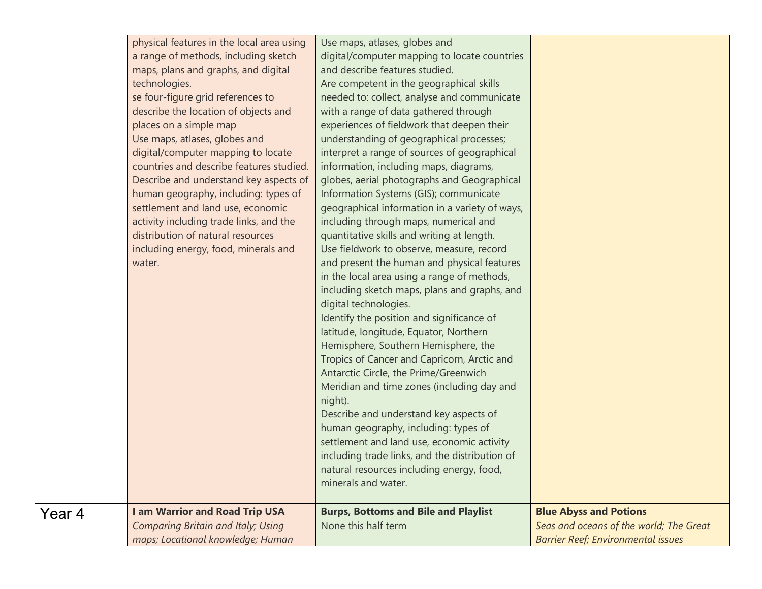| physical features in the local area using    | Use maps, atlases, globes and                  |                                           |
|----------------------------------------------|------------------------------------------------|-------------------------------------------|
| a range of methods, including sketch         | digital/computer mapping to locate countries   |                                           |
| maps, plans and graphs, and digital          | and describe features studied.                 |                                           |
| technologies.                                | Are competent in the geographical skills       |                                           |
| se four-figure grid references to            | needed to: collect, analyse and communicate    |                                           |
| describe the location of objects and         | with a range of data gathered through          |                                           |
| places on a simple map                       | experiences of fieldwork that deepen their     |                                           |
| Use maps, atlases, globes and                | understanding of geographical processes;       |                                           |
| digital/computer mapping to locate           | interpret a range of sources of geographical   |                                           |
| countries and describe features studied.     | information, including maps, diagrams,         |                                           |
| Describe and understand key aspects of       | globes, aerial photographs and Geographical    |                                           |
| human geography, including: types of         | Information Systems (GIS); communicate         |                                           |
| settlement and land use, economic            | geographical information in a variety of ways, |                                           |
| activity including trade links, and the      | including through maps, numerical and          |                                           |
| distribution of natural resources            | quantitative skills and writing at length.     |                                           |
| including energy, food, minerals and         | Use fieldwork to observe, measure, record      |                                           |
| water.                                       | and present the human and physical features    |                                           |
|                                              | in the local area using a range of methods,    |                                           |
|                                              | including sketch maps, plans and graphs, and   |                                           |
|                                              | digital technologies.                          |                                           |
|                                              | Identify the position and significance of      |                                           |
|                                              | latitude, longitude, Equator, Northern         |                                           |
|                                              | Hemisphere, Southern Hemisphere, the           |                                           |
|                                              | Tropics of Cancer and Capricorn, Arctic and    |                                           |
|                                              | Antarctic Circle, the Prime/Greenwich          |                                           |
|                                              | Meridian and time zones (including day and     |                                           |
|                                              | night).                                        |                                           |
|                                              | Describe and understand key aspects of         |                                           |
|                                              | human geography, including: types of           |                                           |
|                                              | settlement and land use, economic activity     |                                           |
|                                              | including trade links, and the distribution of |                                           |
|                                              | natural resources including energy, food,      |                                           |
|                                              | minerals and water.                            |                                           |
| <b>Lam Warrior and Road Trip USA</b>         | <b>Burps, Bottoms and Bile and Playlist</b>    | <b>Blue Abyss and Potions</b>             |
| Year 4<br>Comparing Britain and Italy; Using | None this half term                            | Seas and oceans of the world; The Great   |
| maps; Locational knowledge; Human            |                                                | <b>Barrier Reef; Environmental issues</b> |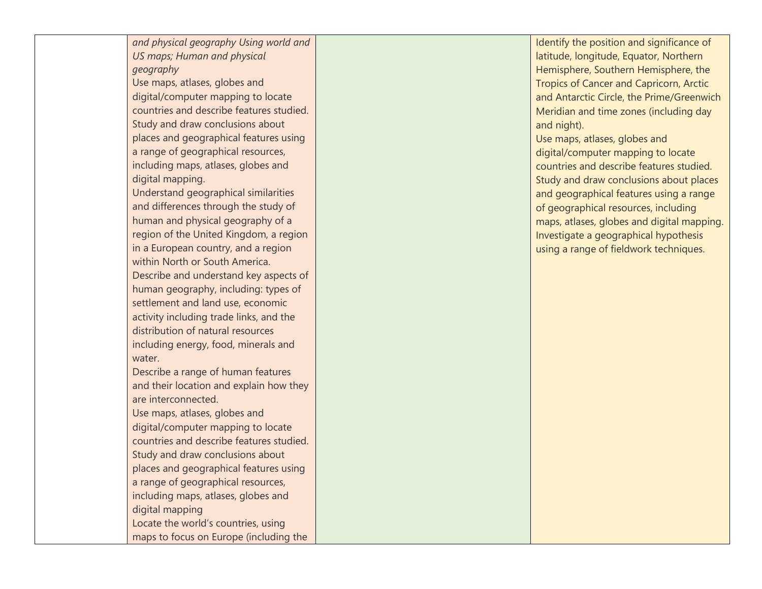*and physical geography Using world and US maps; Human and physical geography*

Use maps, atlases, globes and digital/computer mapping to locate countries and describe features studied. Study and draw conclusions about places and geographical features using a range of geographical resources, including maps, atlases, globes and digital mapping.

Understand geographical similarities and differences through the study of human and physical geography of a region of the United Kingdom, a region in a European country, and a region within North or South America. Describe and understand key aspects of human geography, including: types of settlement and land use, economic activity including trade links, and the distribution of natural resources including energy, food, minerals and water.

Describe a range of human features and their location and explain how they are interconnected.

Use maps, atlases, globes and digital/computer mapping to locate countries and describe features studied. Study and draw conclusions about places and geographical features using a range of geographical resources, including maps, atlases, globes and digital mapping Locate the world's countries, using maps to focus on Europe (including the Identify the position and significance of latitude, longitude, Equator, Northern Hemisphere, Southern Hemisphere, the Tropics of Cancer and Capricorn, Arctic and Antarctic Circle, the Prime/Greenwich Meridian and time zones (including day and night).

Use maps, atlases, globes and digital/computer mapping to locate countries and describe features studied. Study and draw conclusions about places and geographical features using a range of geographical resources, including maps, atlases, globes and digital mapping. Investigate a geographical hypothesis using a range of fieldwork techniques.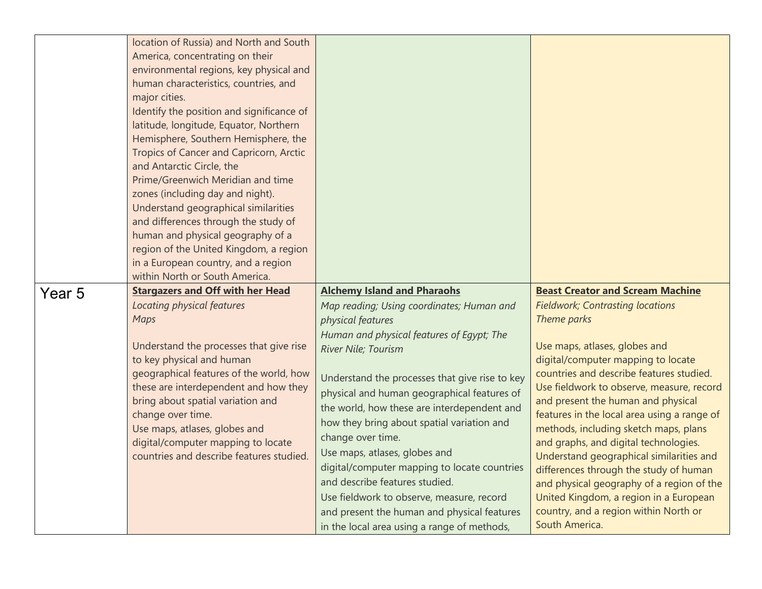|        | location of Russia) and North and South<br>America, concentrating on their<br>environmental regions, key physical and<br>human characteristics, countries, and<br>major cities.<br>Identify the position and significance of<br>latitude, longitude, Equator, Northern<br>Hemisphere, Southern Hemisphere, the<br>Tropics of Cancer and Capricorn, Arctic<br>and Antarctic Circle, the<br>Prime/Greenwich Meridian and time<br>zones (including day and night).<br>Understand geographical similarities<br>and differences through the study of<br>human and physical geography of a<br>region of the United Kingdom, a region<br>in a European country, and a region<br>within North or South America. |                                                                                                                                                                                                                                                                                                                                                                                                                                                                                                                                                                                                                                                           |                                                                                                                                                                                                                                                                                                                                                                                                                                                                                                                                                                                                                                                                                  |
|--------|---------------------------------------------------------------------------------------------------------------------------------------------------------------------------------------------------------------------------------------------------------------------------------------------------------------------------------------------------------------------------------------------------------------------------------------------------------------------------------------------------------------------------------------------------------------------------------------------------------------------------------------------------------------------------------------------------------|-----------------------------------------------------------------------------------------------------------------------------------------------------------------------------------------------------------------------------------------------------------------------------------------------------------------------------------------------------------------------------------------------------------------------------------------------------------------------------------------------------------------------------------------------------------------------------------------------------------------------------------------------------------|----------------------------------------------------------------------------------------------------------------------------------------------------------------------------------------------------------------------------------------------------------------------------------------------------------------------------------------------------------------------------------------------------------------------------------------------------------------------------------------------------------------------------------------------------------------------------------------------------------------------------------------------------------------------------------|
| Year 5 | <b>Stargazers and Off with her Head</b><br>Locating physical features<br>Maps<br>Understand the processes that give rise<br>to key physical and human<br>geographical features of the world, how<br>these are interdependent and how they<br>bring about spatial variation and<br>change over time.<br>Use maps, atlases, globes and<br>digital/computer mapping to locate<br>countries and describe features studied.                                                                                                                                                                                                                                                                                  | <b>Alchemy Island and Pharaohs</b><br>Map reading; Using coordinates; Human and<br>physical features<br>Human and physical features of Egypt; The<br>River Nile; Tourism<br>Understand the processes that give rise to key<br>physical and human geographical features of<br>the world, how these are interdependent and<br>how they bring about spatial variation and<br>change over time.<br>Use maps, atlases, globes and<br>digital/computer mapping to locate countries<br>and describe features studied.<br>Use fieldwork to observe, measure, record<br>and present the human and physical features<br>in the local area using a range of methods, | <b>Beast Creator and Scream Machine</b><br><b>Fieldwork; Contrasting locations</b><br>Theme parks<br>Use maps, atlases, globes and<br>digital/computer mapping to locate<br>countries and describe features studied.<br>Use fieldwork to observe, measure, record<br>and present the human and physical<br>features in the local area using a range of<br>methods, including sketch maps, plans<br>and graphs, and digital technologies.<br>Understand geographical similarities and<br>differences through the study of human<br>and physical geography of a region of the<br>United Kingdom, a region in a European<br>country, and a region within North or<br>South America. |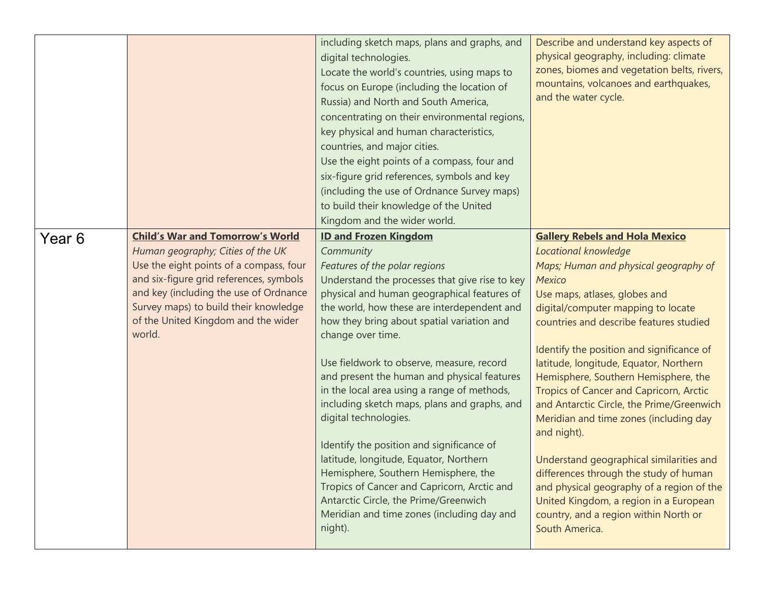|        |                                                                                                                                                                                                                                                                                                        | including sketch maps, plans and graphs, and<br>digital technologies.<br>Locate the world's countries, using maps to<br>focus on Europe (including the location of<br>Russia) and North and South America,<br>concentrating on their environmental regions,<br>key physical and human characteristics,<br>countries, and major cities.<br>Use the eight points of a compass, four and<br>six-figure grid references, symbols and key<br>(including the use of Ordnance Survey maps)<br>to build their knowledge of the United<br>Kingdom and the wider world.                                                                                                                                                                                                                                     | Describe and understand key aspects of<br>physical geography, including: climate<br>zones, biomes and vegetation belts, rivers,<br>mountains, volcanoes and earthquakes,<br>and the water cycle.                                                                                                                                                                                                                                                                                                                                                                                                                                                                                                                                                           |
|--------|--------------------------------------------------------------------------------------------------------------------------------------------------------------------------------------------------------------------------------------------------------------------------------------------------------|---------------------------------------------------------------------------------------------------------------------------------------------------------------------------------------------------------------------------------------------------------------------------------------------------------------------------------------------------------------------------------------------------------------------------------------------------------------------------------------------------------------------------------------------------------------------------------------------------------------------------------------------------------------------------------------------------------------------------------------------------------------------------------------------------|------------------------------------------------------------------------------------------------------------------------------------------------------------------------------------------------------------------------------------------------------------------------------------------------------------------------------------------------------------------------------------------------------------------------------------------------------------------------------------------------------------------------------------------------------------------------------------------------------------------------------------------------------------------------------------------------------------------------------------------------------------|
| Year 6 | <b>Child's War and Tomorrow's World</b><br>Human geography; Cities of the UK<br>Use the eight points of a compass, four<br>and six-figure grid references, symbols<br>and key (including the use of Ordnance<br>Survey maps) to build their knowledge<br>of the United Kingdom and the wider<br>world. | <b>ID and Frozen Kingdom</b><br>Community<br>Features of the polar regions<br>Understand the processes that give rise to key<br>physical and human geographical features of<br>the world, how these are interdependent and<br>how they bring about spatial variation and<br>change over time.<br>Use fieldwork to observe, measure, record<br>and present the human and physical features<br>in the local area using a range of methods,<br>including sketch maps, plans and graphs, and<br>digital technologies.<br>Identify the position and significance of<br>latitude, longitude, Equator, Northern<br>Hemisphere, Southern Hemisphere, the<br>Tropics of Cancer and Capricorn, Arctic and<br>Antarctic Circle, the Prime/Greenwich<br>Meridian and time zones (including day and<br>night). | <b>Gallery Rebels and Hola Mexico</b><br>Locational knowledge<br>Maps; Human and physical geography of<br>Mexico<br>Use maps, atlases, globes and<br>digital/computer mapping to locate<br>countries and describe features studied<br>Identify the position and significance of<br>latitude, longitude, Equator, Northern<br>Hemisphere, Southern Hemisphere, the<br>Tropics of Cancer and Capricorn, Arctic<br>and Antarctic Circle, the Prime/Greenwich<br>Meridian and time zones (including day<br>and night).<br>Understand geographical similarities and<br>differences through the study of human<br>and physical geography of a region of the<br>United Kingdom, a region in a European<br>country, and a region within North or<br>South America. |